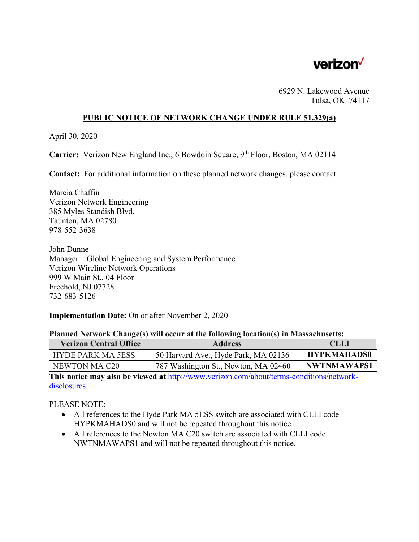

6929 N. Lakewood Avenue Tulsa, OK 74117

### **PUBLIC NOTICE OF NETWORK CHANGE UNDER RULE 51.329(a)**

April 30, 2020

**Carrier:** Verizon New England Inc., 6 Bowdoin Square, 9<sup>th</sup> Floor, Boston, MA 02114

**Contact:** For additional information on these planned network changes, please contact:

Marcia Chaffin Verizon Network Engineering 385 Myles Standish Blvd. Taunton, MA 02780 978-552-3638

John Dunne Manager – Global Engineering and System Performance Verizon Wireline Network Operations 999 W Main St., 04 Floor Freehold, NJ 07728 732-683-5126

### **Implementation Date:** On or after November 2, 2020

#### **Planned Network Change(s) will occur at the following location(s) in Massachusetts:**

| <b>Verizon Central Office</b> | <b>Address</b>                       | <b>CLLI</b>        |
|-------------------------------|--------------------------------------|--------------------|
| <b>HYDE PARK MA 5ESS</b>      | 50 Harvard Ave., Hyde Park, MA 02136 | <b>HYPKMAHADS0</b> |
| NEWTON MA C20                 | 787 Washington St., Newton, MA 02460 | <b>NWTNMAWAPS1</b> |

**This notice may also be viewed at** http://www.verizon.com/about/terms-conditions/networkdisclosures

PLEASE NOTE:

- All references to the Hyde Park MA 5ESS switch are associated with CLLI code HYPKMAHADS0 and will not be repeated throughout this notice.
- All references to the Newton MA C20 switch are associated with CLLI code NWTNMAWAPS1 and will not be repeated throughout this notice.